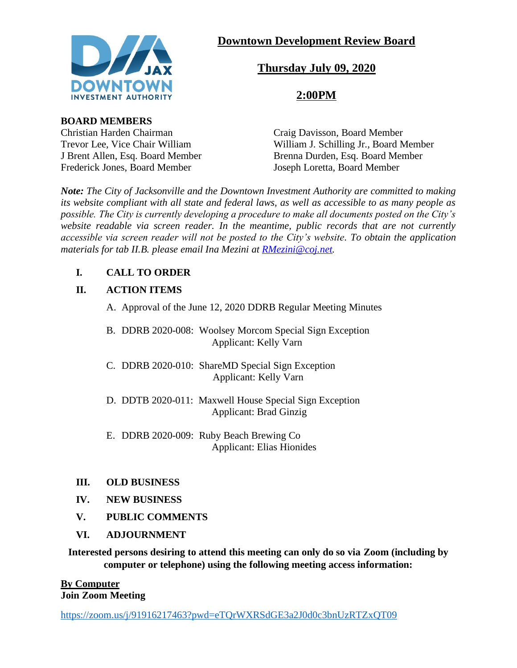

# **Downtown Development Review Board**

# **Thursday July 09, 2020**

# **2:00PM**

## **BOARD MEMBERS**

Christian Harden Chairman Craig Davisson, Board Member

Trevor Lee, Vice Chair William William William J. Schilling Jr., Board Member J Brent Allen, Esq. Board Member<br>
Frederick Jones. Board Member<br>
Joseph Loretta. Board Member Joseph Loretta, Board Member

*Note: The City of Jacksonville and the Downtown Investment Authority are committed to making its website compliant with all state and federal laws, as well as accessible to as many people as possible. The City is currently developing a procedure to make all documents posted on the City's website readable via screen reader. In the meantime, public records that are not currently accessible via screen reader will not be posted to the City's website. To obtain the application materials for tab II.B. please email Ina Mezini at [RMezini@coj.net.](mailto:RMezini@coj.net)*

## **I. CALL TO ORDER**

## **II. ACTION ITEMS**

- A. Approval of the June 12, 2020 DDRB Regular Meeting Minutes
- B. DDRB 2020-008: Woolsey Morcom Special Sign Exception Applicant: Kelly Varn
- C. DDRB 2020-010: ShareMD Special Sign Exception Applicant: Kelly Varn
- D. DDTB 2020-011: Maxwell House Special Sign Exception Applicant: Brad Ginzig
- E. DDRB 2020-009: Ruby Beach Brewing Co Applicant: Elias Hionides

## **III. OLD BUSINESS**

- **IV. NEW BUSINESS**
- **V. PUBLIC COMMENTS**
- **VI. ADJOURNMENT**

**Interested persons desiring to attend this meeting can only do so via Zoom (including by computer or telephone) using the following meeting access information:**

#### **By Computer Join Zoom Meeting**

<https://zoom.us/j/91916217463?pwd=eTQrWXRSdGE3a2J0d0c3bnUzRTZxQT09>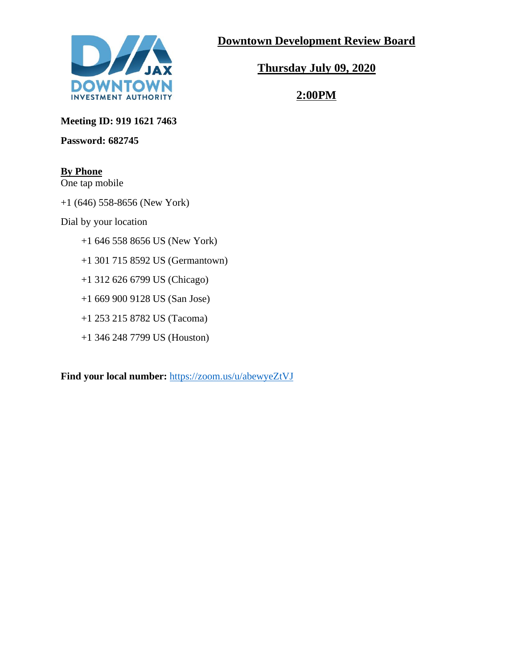

**Downtown Development Review Board**

**Thursday July 09, 2020**

**2:00PM**

**Meeting ID: 919 1621 7463**

**Password: 682745**

## **By Phone**

One tap mobile

+1 (646) 558-8656 (New York)

Dial by your location

- +1 646 558 8656 US (New York)
- +1 301 715 8592 US (Germantown)
- +1 312 626 6799 US (Chicago)
- +1 669 900 9128 US (San Jose)
- +1 253 215 8782 US (Tacoma)
- +1 346 248 7799 US (Houston)

**Find your local number:** <https://zoom.us/u/abewyeZtVJ>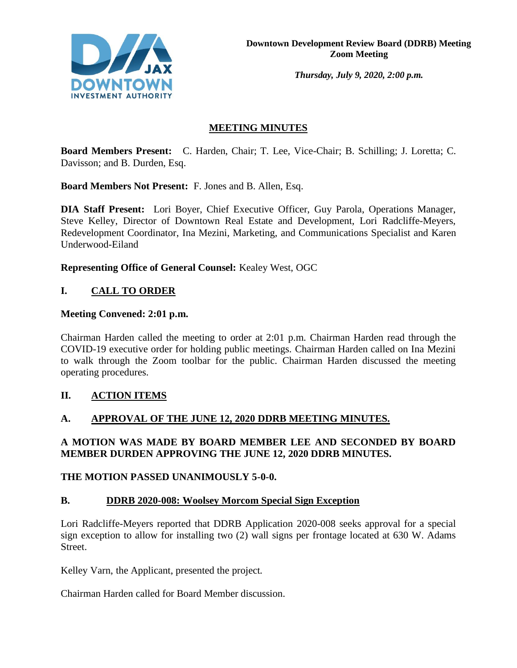

*Thursday, July 9, 2020, 2:00 p.m.* 

## **MEETING MINUTES**

**Board Members Present:** C. Harden, Chair; T. Lee, Vice-Chair; B. Schilling; J. Loretta; C. Davisson; and B. Durden, Esq.

**Board Members Not Present:** F. Jones and B. Allen, Esq.

**DIA Staff Present:** Lori Boyer, Chief Executive Officer, Guy Parola, Operations Manager, Steve Kelley, Director of Downtown Real Estate and Development, Lori Radcliffe-Meyers, Redevelopment Coordinator, Ina Mezini, Marketing, and Communications Specialist and Karen Underwood-Eiland

**Representing Office of General Counsel:** Kealey West, OGC

## **I. CALL TO ORDER**

#### **Meeting Convened: 2:01 p.m.**

Chairman Harden called the meeting to order at 2:01 p.m. Chairman Harden read through the COVID-19 executive order for holding public meetings. Chairman Harden called on Ina Mezini to walk through the Zoom toolbar for the public. Chairman Harden discussed the meeting operating procedures.

## **II. ACTION ITEMS**

## **A. APPROVAL OF THE JUNE 12, 2020 DDRB MEETING MINUTES.**

## **A MOTION WAS MADE BY BOARD MEMBER LEE AND SECONDED BY BOARD MEMBER DURDEN APPROVING THE JUNE 12, 2020 DDRB MINUTES.**

#### **THE MOTION PASSED UNANIMOUSLY 5-0-0.**

#### **B. DDRB 2020-008: Woolsey Morcom Special Sign Exception**

Lori Radcliffe-Meyers reported that DDRB Application 2020-008 seeks approval for a special sign exception to allow for installing two (2) wall signs per frontage located at 630 W. Adams Street.

Kelley Varn, the Applicant, presented the project.

Chairman Harden called for Board Member discussion.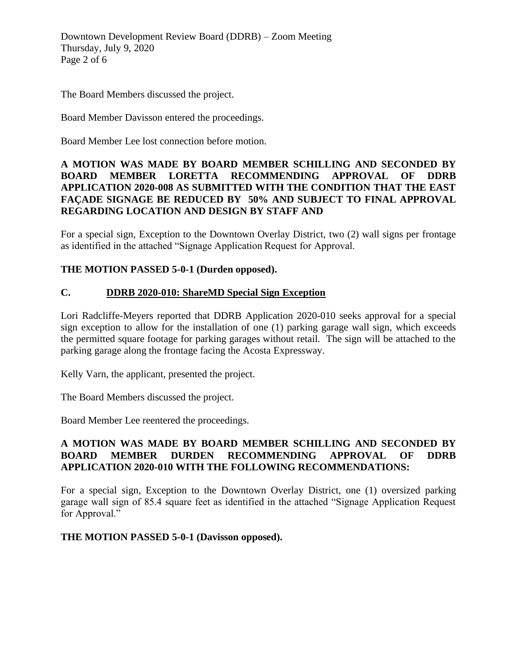Downtown Development Review Board (DDRB) – Zoom Meeting Thursday, July 9, 2020 Page 2 of 6

The Board Members discussed the project.

Board Member Davisson entered the proceedings.

Board Member Lee lost connection before motion.

#### **A MOTION WAS MADE BY BOARD MEMBER SCHILLING AND SECONDED BY BOARD MEMBER LORETTA RECOMMENDING APPROVAL OF DDRB APPLICATION 2020-008 AS SUBMITTED WITH THE CONDITION THAT THE EAST FAÇADE SIGNAGE BE REDUCED BY 50% AND SUBJECT TO FINAL APPROVAL REGARDING LOCATION AND DESIGN BY STAFF AND**

For a special sign, Exception to the Downtown Overlay District, two (2) wall signs per frontage as identified in the attached "Signage Application Request for Approval.

#### **THE MOTION PASSED 5-0-1 (Durden opposed).**

#### **C. DDRB 2020-010: ShareMD Special Sign Exception**

Lori Radcliffe-Meyers reported that DDRB Application 2020-010 seeks approval for a special sign exception to allow for the installation of one (1) parking garage wall sign, which exceeds the permitted square footage for parking garages without retail. The sign will be attached to the parking garage along the frontage facing the Acosta Expressway.

Kelly Varn, the applicant, presented the project.

The Board Members discussed the project.

Board Member Lee reentered the proceedings.

## **A MOTION WAS MADE BY BOARD MEMBER SCHILLING AND SECONDED BY BOARD MEMBER DURDEN RECOMMENDING APPROVAL OF DDRB APPLICATION 2020-010 WITH THE FOLLOWING RECOMMENDATIONS:**

For a special sign, Exception to the Downtown Overlay District, one (1) oversized parking garage wall sign of 85.4 square feet as identified in the attached "Signage Application Request for Approval."

**THE MOTION PASSED 5-0-1 (Davisson opposed).**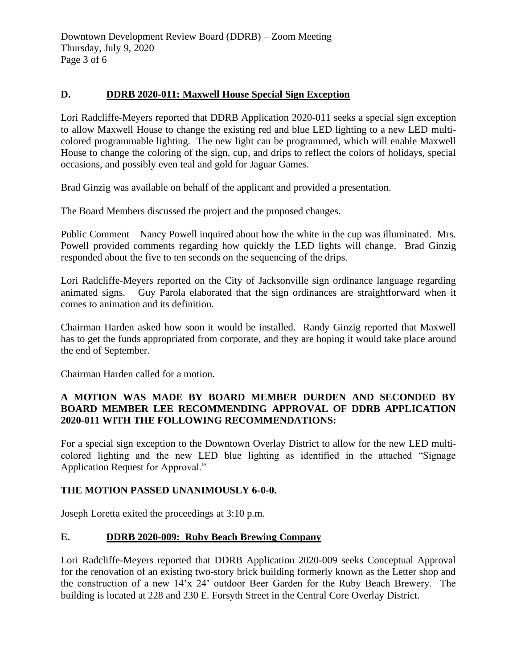## **D. DDRB 2020-011: Maxwell House Special Sign Exception**

Lori Radcliffe-Meyers reported that DDRB Application 2020-011 seeks a special sign exception to allow Maxwell House to change the existing red and blue LED lighting to a new LED multicolored programmable lighting. The new light can be programmed, which will enable Maxwell House to change the coloring of the sign, cup, and drips to reflect the colors of holidays, special occasions, and possibly even teal and gold for Jaguar Games.

Brad Ginzig was available on behalf of the applicant and provided a presentation.

The Board Members discussed the project and the proposed changes.

Public Comment – Nancy Powell inquired about how the white in the cup was illuminated. Mrs. Powell provided comments regarding how quickly the LED lights will change. Brad Ginzig responded about the five to ten seconds on the sequencing of the drips.

Lori Radcliffe-Meyers reported on the City of Jacksonville sign ordinance language regarding animated signs. Guy Parola elaborated that the sign ordinances are straightforward when it comes to animation and its definition.

Chairman Harden asked how soon it would be installed. Randy Ginzig reported that Maxwell has to get the funds appropriated from corporate, and they are hoping it would take place around the end of September.

Chairman Harden called for a motion.

## **A MOTION WAS MADE BY BOARD MEMBER DURDEN AND SECONDED BY BOARD MEMBER LEE RECOMMENDING APPROVAL OF DDRB APPLICATION 2020-011 WITH THE FOLLOWING RECOMMENDATIONS:**

For a special sign exception to the Downtown Overlay District to allow for the new LED multicolored lighting and the new LED blue lighting as identified in the attached "Signage Application Request for Approval."

## **THE MOTION PASSED UNANIMOUSLY 6-0-0.**

Joseph Loretta exited the proceedings at 3:10 p.m.

## **E. DDRB 2020-009: Ruby Beach Brewing Company**

Lori Radcliffe-Meyers reported that DDRB Application 2020-009 seeks Conceptual Approval for the renovation of an existing two-story brick building formerly known as the Letter shop and the construction of a new 14'x 24' outdoor Beer Garden for the Ruby Beach Brewery. The building is located at 228 and 230 E. Forsyth Street in the Central Core Overlay District.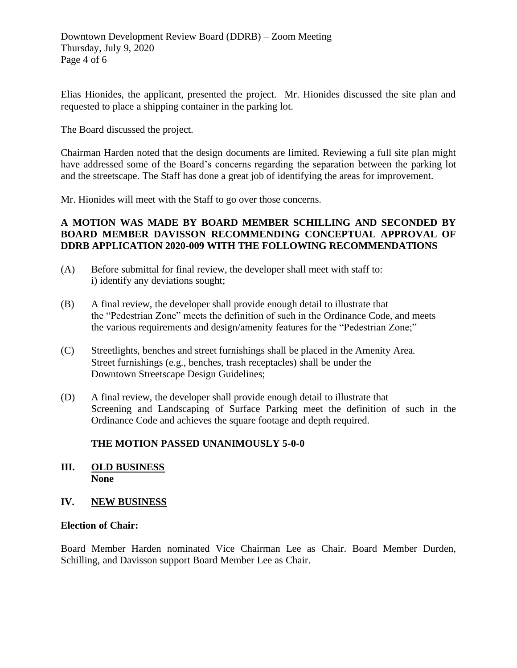Elias Hionides, the applicant, presented the project. Mr. Hionides discussed the site plan and requested to place a shipping container in the parking lot.

The Board discussed the project.

Chairman Harden noted that the design documents are limited. Reviewing a full site plan might have addressed some of the Board's concerns regarding the separation between the parking lot and the streetscape. The Staff has done a great job of identifying the areas for improvement.

Mr. Hionides will meet with the Staff to go over those concerns.

#### **A MOTION WAS MADE BY BOARD MEMBER SCHILLING AND SECONDED BY BOARD MEMBER DAVISSON RECOMMENDING CONCEPTUAL APPROVAL OF DDRB APPLICATION 2020-009 WITH THE FOLLOWING RECOMMENDATIONS**

- (A) Before submittal for final review, the developer shall meet with staff to: i) identify any deviations sought;
- (B) A final review, the developer shall provide enough detail to illustrate that the "Pedestrian Zone" meets the definition of such in the Ordinance Code, and meets the various requirements and design/amenity features for the "Pedestrian Zone;"
- (C) Streetlights, benches and street furnishings shall be placed in the Amenity Area. Street furnishings (e.g., benches, trash receptacles) shall be under the Downtown Streetscape Design Guidelines;
- (D) A final review, the developer shall provide enough detail to illustrate that Screening and Landscaping of Surface Parking meet the definition of such in the Ordinance Code and achieves the square footage and depth required.

## **THE MOTION PASSED UNANIMOUSLY 5-0-0**

**III. OLD BUSINESS None**

#### **IV. NEW BUSINESS**

#### **Election of Chair:**

Board Member Harden nominated Vice Chairman Lee as Chair. Board Member Durden, Schilling, and Davisson support Board Member Lee as Chair.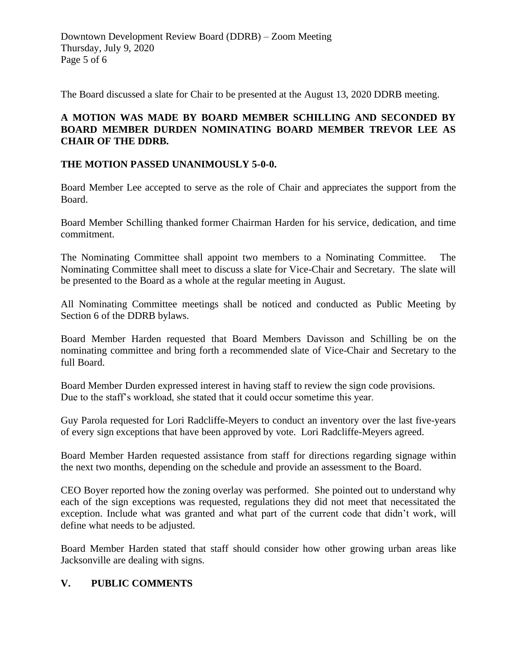The Board discussed a slate for Chair to be presented at the August 13, 2020 DDRB meeting.

## **A MOTION WAS MADE BY BOARD MEMBER SCHILLING AND SECONDED BY BOARD MEMBER DURDEN NOMINATING BOARD MEMBER TREVOR LEE AS CHAIR OF THE DDRB.**

## **THE MOTION PASSED UNANIMOUSLY 5-0-0.**

Board Member Lee accepted to serve as the role of Chair and appreciates the support from the Board.

Board Member Schilling thanked former Chairman Harden for his service, dedication, and time commitment.

The Nominating Committee shall appoint two members to a Nominating Committee. The Nominating Committee shall meet to discuss a slate for Vice-Chair and Secretary. The slate will be presented to the Board as a whole at the regular meeting in August.

All Nominating Committee meetings shall be noticed and conducted as Public Meeting by Section 6 of the DDRB bylaws.

Board Member Harden requested that Board Members Davisson and Schilling be on the nominating committee and bring forth a recommended slate of Vice-Chair and Secretary to the full Board.

Board Member Durden expressed interest in having staff to review the sign code provisions. Due to the staff's workload, she stated that it could occur sometime this year.

Guy Parola requested for Lori Radcliffe-Meyers to conduct an inventory over the last five-years of every sign exceptions that have been approved by vote. Lori Radcliffe-Meyers agreed.

Board Member Harden requested assistance from staff for directions regarding signage within the next two months, depending on the schedule and provide an assessment to the Board.

CEO Boyer reported how the zoning overlay was performed. She pointed out to understand why each of the sign exceptions was requested, regulations they did not meet that necessitated the exception. Include what was granted and what part of the current code that didn't work, will define what needs to be adjusted.

Board Member Harden stated that staff should consider how other growing urban areas like Jacksonville are dealing with signs.

## **V. PUBLIC COMMENTS**